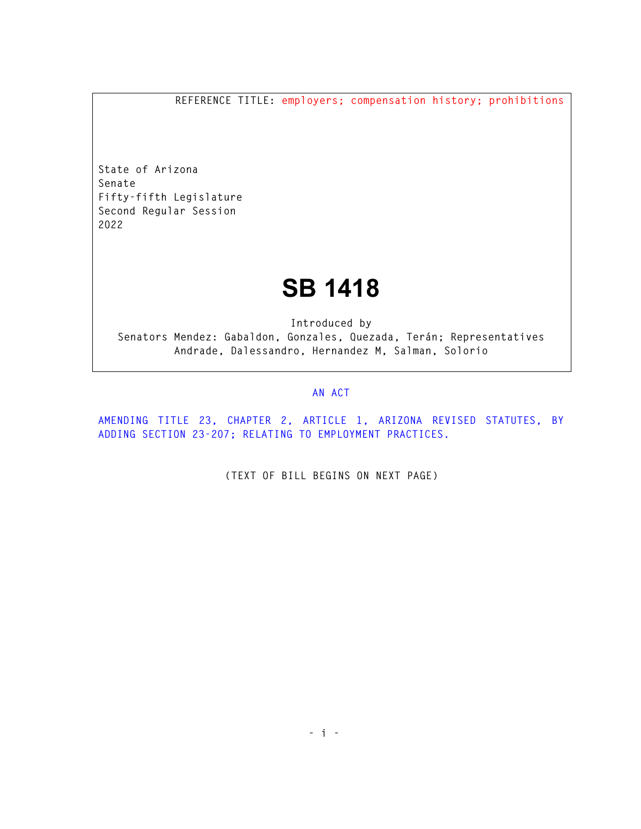**REFERENCE TITLE: employers; compensation history; prohibitions** 

**State of Arizona Senate Fifty-fifth Legislature Second Regular Session 2022** 

## **SB 1418**

**Introduced by Senators Mendez: Gabaldon, Gonzales, Quezada, Terán; Representatives Andrade, Dalessandro, Hernandez M, Salman, Solorio** 

## **AN ACT**

**AMENDING TITLE 23, CHAPTER 2, ARTICLE 1, ARIZONA REVISED STATUTES, BY ADDING SECTION 23-207; RELATING TO EMPLOYMENT PRACTICES.** 

**(TEXT OF BILL BEGINS ON NEXT PAGE)**